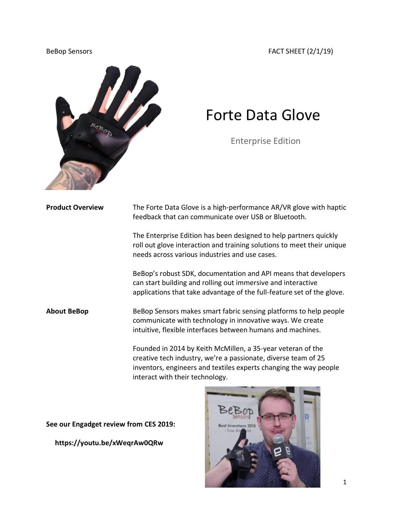BeBop Sensors FACT SHEET (2/1/19)



## Forte Data Glove

Enterprise Edition

**Product Overview** The Forte Data Glove is a high-performance AR/VR glove with haptic feedback that can communicate over USB or Bluetooth.

> The Enterprise Edition has been designed to help partners quickly roll out glove interaction and training solutions to meet their unique needs across various industries and use cases.

> BeBop's robust SDK, documentation and API means that developers can start building and rolling out immersive and interactive applications that take advantage of the full-feature set of the glove.

**About BeBop** BeBop Sensors makes smart fabric sensing platforms to help people communicate with technology in innovative ways. We create intuitive, flexible interfaces between humans and machines.

> Founded in 2014 by Keith McMillen, a 35-year veteran of the creative tech industry, we're a passionate, diverse team of 25 inventors, engineers and textiles experts changing the way people interact with their technology.

**See our Engadget review from CES 2019:** 

 **https://youtu.be/xWeqrAw0QRw**

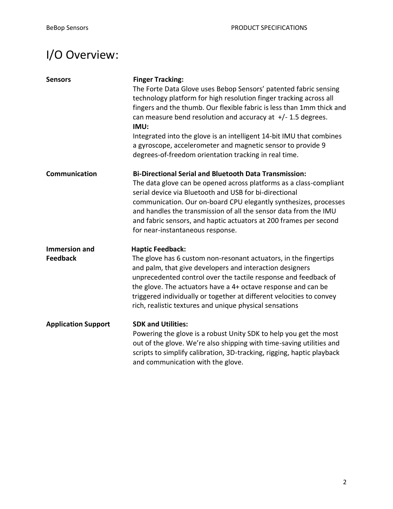## I/O Overview:

| <b>Sensors</b>                          | <b>Finger Tracking:</b><br>The Forte Data Glove uses Bebop Sensors' patented fabric sensing<br>technology platform for high resolution finger tracking across all<br>fingers and the thumb. Our flexible fabric is less than 1mm thick and<br>can measure bend resolution and accuracy at $+/- 1.5$ degrees.<br>IMU:<br>Integrated into the glove is an intelligent 14-bit IMU that combines<br>a gyroscope, accelerometer and magnetic sensor to provide 9<br>degrees-of-freedom orientation tracking in real time. |
|-----------------------------------------|----------------------------------------------------------------------------------------------------------------------------------------------------------------------------------------------------------------------------------------------------------------------------------------------------------------------------------------------------------------------------------------------------------------------------------------------------------------------------------------------------------------------|
| Communication                           | <b>Bi-Directional Serial and Bluetooth Data Transmission:</b><br>The data glove can be opened across platforms as a class-compliant<br>serial device via Bluetooth and USB for bi-directional<br>communication. Our on-board CPU elegantly synthesizes, processes<br>and handles the transmission of all the sensor data from the IMU<br>and fabric sensors, and haptic actuators at 200 frames per second<br>for near-instantaneous response.                                                                       |
| <b>Immersion and</b><br><b>Feedback</b> | <b>Haptic Feedback:</b><br>The glove has 6 custom non-resonant actuators, in the fingertips<br>and palm, that give developers and interaction designers<br>unprecedented control over the tactile response and feedback of<br>the glove. The actuators have a 4+ octave response and can be<br>triggered individually or together at different velocities to convey<br>rich, realistic textures and unique physical sensations                                                                                       |
| <b>Application Support</b>              | <b>SDK and Utilities:</b><br>Powering the glove is a robust Unity SDK to help you get the most<br>out of the glove. We're also shipping with time-saving utilities and<br>scripts to simplify calibration, 3D-tracking, rigging, haptic playback<br>and communication with the glove.                                                                                                                                                                                                                                |